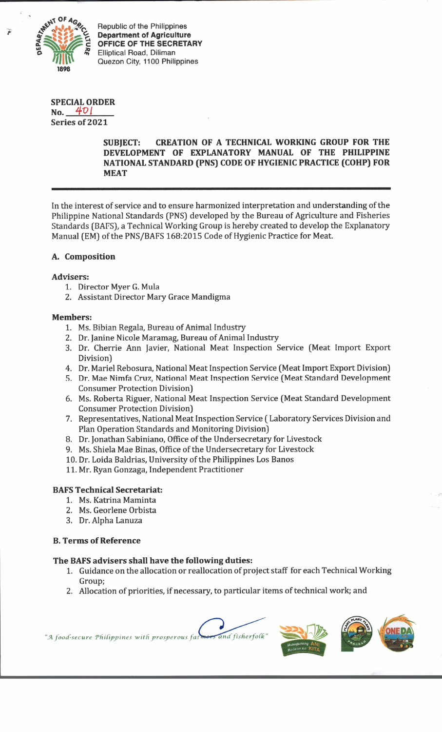

Republic of the Philippines **Department of Agriculture OFFICE OF THE SECRETARY** Elliptical Road, Diliman Quezon City, 1100 Philippines

#### **SPECIAL ORDER No.** 401

**Series of 2021**

### **SUBJECT: CREATION OF A TECHNICAL WORKING GROUP FOR THE DEVELOPMENT OF EXPLANATORY MANUAL OF THE PHILIPPINE NATIONAL STANDARD (PNS) CODE OF HYGIENIC PRACTICE (COHP) FOR MEAT**

In the interest of service and to ensure harmonized interpretation and understanding of the Philippine National Standards (PNS) developed by the Bureau of Agriculture and Fisheries Standards (BAFS), a Technical Working Group is hereby created to develop the Explanatory Manual (EM) of the PNS/BAFS 168:2015 Code of Hygienic Practice for Meat.

# **A. Composition**

## **Advisers:**

- 1. Director Myer G. Mula
- 2. Assistant Director Mary Grace Mandigma

#### **Members:**

- 1. Ms. Bibian Regala, Bureau of Animal Industry
- 2. Dr. Janine Nicole Maramag, Bureau of Animal Industry
- 3. Dr. Cherrie Ann Javier, National Meat Inspection Service (Meat Import Export Division)
- 4. Dr. Mariel Rebosura, National Meat Inspection Service (Meat Import Export Division)
- 5. Dr. Mae Nimfa Cruz, National Meat Inspection Service (Meat Standard Development Consumer Protection Division)
- 6. Ms. Roberta Riguer, National Meat Inspection Service (Meat Standard Development Consumer Protection Division)
- 7. Representatives, National Meat Inspection Service ( Laboratory Services Division and Plan Operation Standards and Monitoring Division)
- 8. Dr. Jonathan Sabiniano, Office of the Undersecretary for Livestock
- 9. Ms. Shiela Mae Binas, Office of the Undersecretary for Livestock
- 10. Dr. Loida Baldrias, University of the Philippines Los Banos
- 11. Mr. Ryan Gonzaga, Independent Practitioner

## **BAFS Technical Secretariat:**

- 1. Ms. Katrina Maminta
	- 2. Ms. Georlene Orbista
	- 3. Dr. Alpha Lanuza

## **B. Terms of Reference**

## **The BAFS advisers shall have the following duties:**

- 1. Guidance on the allocation or reallocation of project staff for each Technical Working Group;
- 2. Allocation of priorities, if necessary, to particular items of technical work; and





"A food-secure Philippines with prosperous far